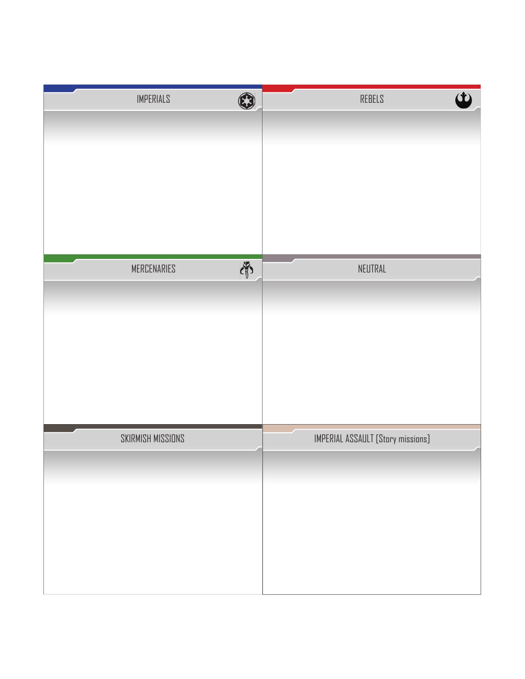| <b>IMPERIALS</b>  | $\mathbf{\Omega}$ | $\dot{\bm{\omega}}$<br>REBELS     |
|-------------------|-------------------|-----------------------------------|
|                   |                   |                                   |
|                   |                   |                                   |
|                   |                   |                                   |
|                   |                   |                                   |
| MERCENARIES       | 南                 | NEUTRAL                           |
|                   |                   |                                   |
|                   |                   |                                   |
|                   |                   |                                   |
|                   |                   |                                   |
|                   |                   |                                   |
| SKIRMISH MISSIONS |                   | IMPERIAL ASSAULT [Story missions] |
|                   |                   |                                   |
|                   |                   |                                   |
|                   |                   |                                   |
|                   |                   |                                   |
|                   |                   |                                   |
|                   |                   |                                   |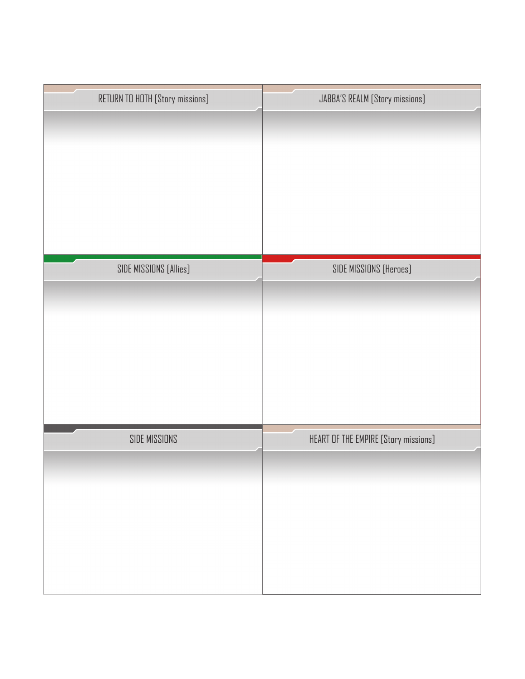| RETURN TO HOTH [Story missions] | JABBA'S REALM [Story missions]       |
|---------------------------------|--------------------------------------|
|                                 |                                      |
|                                 |                                      |
|                                 |                                      |
|                                 |                                      |
|                                 |                                      |
|                                 |                                      |
| SIDE MISSIONS [Allies]          | SIDE MISSIONS [Heroes]               |
|                                 |                                      |
|                                 |                                      |
|                                 |                                      |
|                                 |                                      |
|                                 |                                      |
|                                 |                                      |
| SIDE MISSIONS                   | HEART OF THE EMPIRE [Story missions] |
|                                 |                                      |
|                                 |                                      |
|                                 |                                      |
|                                 |                                      |
|                                 |                                      |
|                                 |                                      |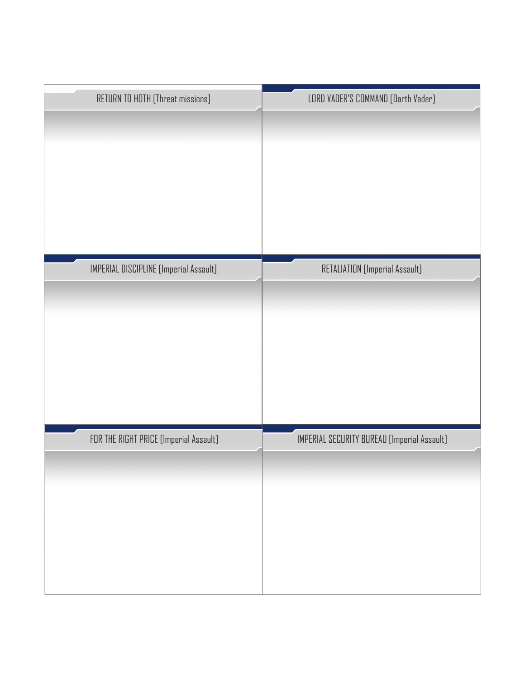| RETURN TO HOTH [Threat missions]       | LORD VADER'S COMMAND [Darth Vader]          |
|----------------------------------------|---------------------------------------------|
|                                        |                                             |
|                                        |                                             |
|                                        |                                             |
|                                        |                                             |
|                                        |                                             |
|                                        |                                             |
| IMPERIAL DISCIPLINE [Imperial Assault] | RETALIATION [Imperial Assault]              |
|                                        |                                             |
|                                        |                                             |
|                                        |                                             |
|                                        |                                             |
|                                        |                                             |
|                                        |                                             |
| FOR THE RIGHT PRICE [Imperial Assault] | IMPERIAL SECURITY BUREAU [Imperial Assault] |
|                                        |                                             |
|                                        |                                             |
|                                        |                                             |
|                                        |                                             |
|                                        |                                             |
|                                        |                                             |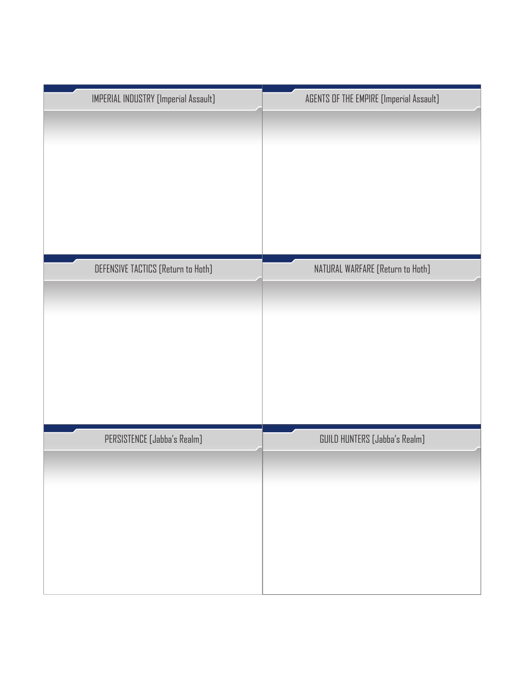| IMPERIAL INDUSTRY [Imperial Assault] | AGENTS OF THE EMPIRE [Imperial Assault] |
|--------------------------------------|-----------------------------------------|
|                                      |                                         |
| DEFENSIVE TACTICS [Return to Hoth]   | NATURAL WARFARE [Return to Hoth]        |
|                                      |                                         |
|                                      |                                         |
|                                      |                                         |
|                                      |                                         |
| PERSISTENCE [Jabba's Realm]          | GUILD HUNTERS [Jabba's Realm]           |
|                                      |                                         |
|                                      |                                         |
|                                      |                                         |
|                                      |                                         |
|                                      |                                         |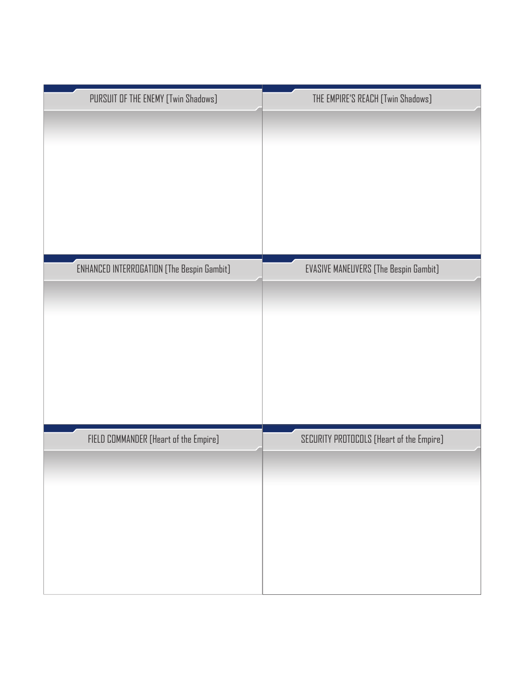| PURSUIT OF THE ENEMY [Twin Shadows]               | THE EMPIRE'S REACH [Twin Shadows]            |
|---------------------------------------------------|----------------------------------------------|
|                                                   |                                              |
|                                                   |                                              |
|                                                   |                                              |
|                                                   |                                              |
|                                                   |                                              |
|                                                   |                                              |
|                                                   |                                              |
| <b>ENHANCED INTERROGATION [The Bespin Gambit]</b> | <b>EVASIVE MANEUVERS [The Bespin Gambit]</b> |
|                                                   |                                              |
|                                                   |                                              |
|                                                   |                                              |
|                                                   |                                              |
|                                                   |                                              |
|                                                   |                                              |
|                                                   |                                              |
| FIELD COMMANDER [Heart of the Empire]             | SECURITY PROTOCOLS [Heart of the Empire]     |
|                                                   |                                              |
|                                                   |                                              |
|                                                   |                                              |
|                                                   |                                              |
|                                                   |                                              |
|                                                   |                                              |
|                                                   |                                              |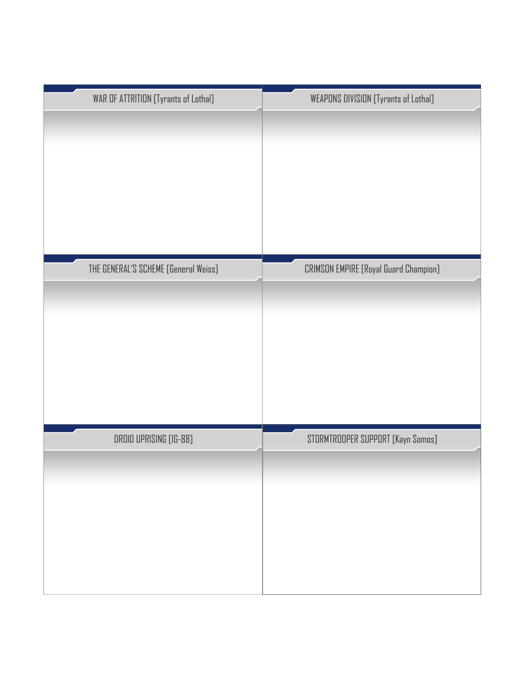| WAR OF ATTRITION [Tyrants of Lothal] | <b>WEAPONS DIVISION [Tyrants of Lothal]</b> |
|--------------------------------------|---------------------------------------------|
|                                      |                                             |
|                                      |                                             |
|                                      |                                             |
|                                      |                                             |
|                                      |                                             |
|                                      |                                             |
|                                      |                                             |
| THE GENERAL'S SCHEME [General Weiss] | CRIMSON EMPIRE [Royal Guard Champion]       |
|                                      |                                             |
|                                      |                                             |
|                                      |                                             |
|                                      |                                             |
|                                      |                                             |
|                                      |                                             |
|                                      |                                             |
| DROID UPRISING [IG-88]               | STORMTROOPER SUPPORT [Kayn Somos]           |
|                                      |                                             |
|                                      |                                             |
|                                      |                                             |
|                                      |                                             |
|                                      |                                             |
|                                      |                                             |
|                                      |                                             |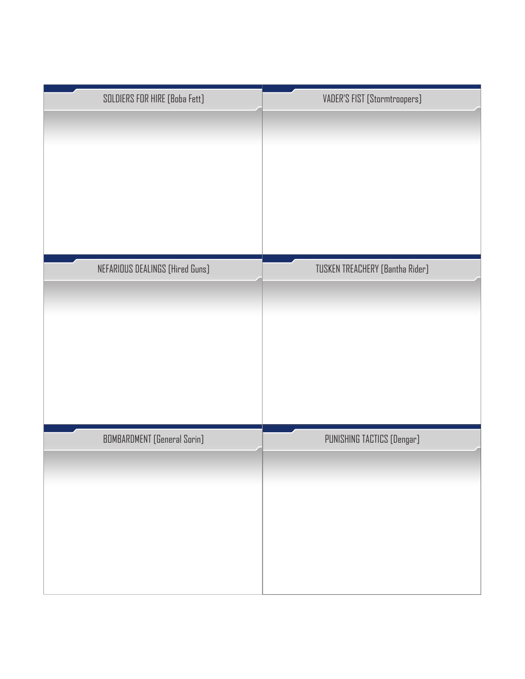| SOLDIERS FOR HIRE [Boba Fett]      | VADER'S FIST [Stormtroopers]    |
|------------------------------------|---------------------------------|
| NEFARIOUS DEALINGS [Hired Guns]    | TUSKEN TREACHERY [Bantha Rider] |
| <b>BOMBARDMENT</b> [General Sorin] | PUNISHING TACTICS [Dengar]      |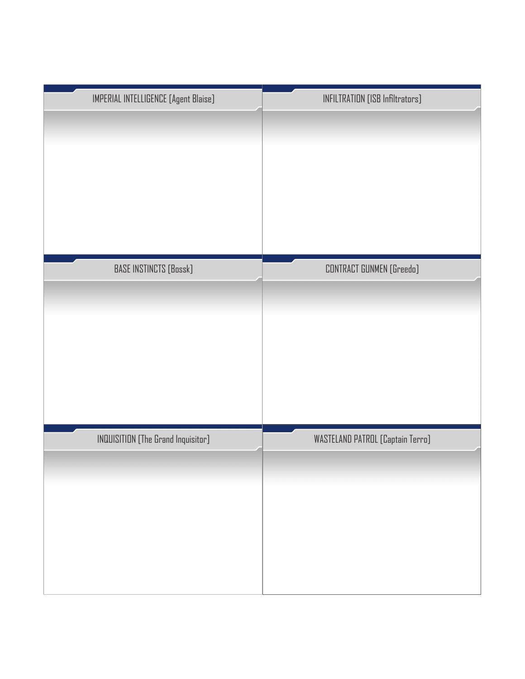| <b>IMPERIAL INTELLIGENCE [Agent Blaise]</b> | INFILTRATION [ISB Infiltrators]  |
|---------------------------------------------|----------------------------------|
|                                             |                                  |
| BASE INSTINCTS [Bossk]                      | CONTRACT GUNMEN (Greedo)         |
|                                             |                                  |
|                                             |                                  |
|                                             |                                  |
|                                             |                                  |
| <b>INQUISITION</b> [The Grand Inquisitor]   | WASTELAND PATROL [Captain Terro] |
|                                             |                                  |
|                                             |                                  |
|                                             |                                  |
|                                             |                                  |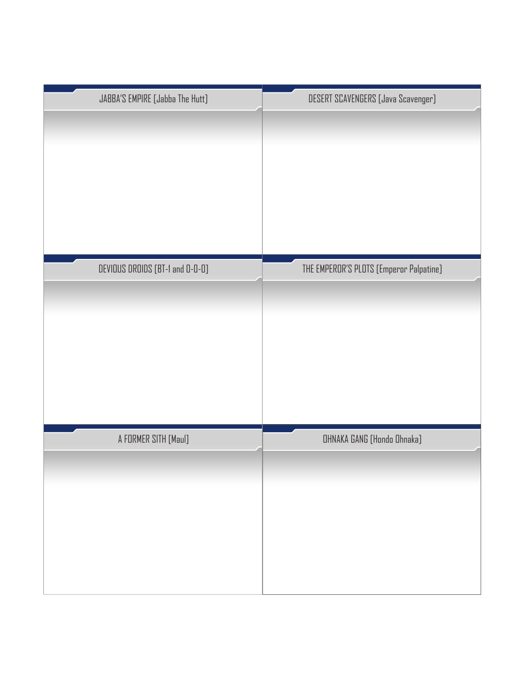| JABBA'S EMPIRE [Jabba The Hutt] | DESERT SCAVENGERS [Java Scavenger]      |
|---------------------------------|-----------------------------------------|
| DEVIOUS DROIDS [BT-1 and 0-0-0] | THE EMPEROR'S PLOTS [Emperor Palpatine] |
| A FORMER SITH [Maul]            | OHNAKA GANG [Hondo Ohnaka]              |